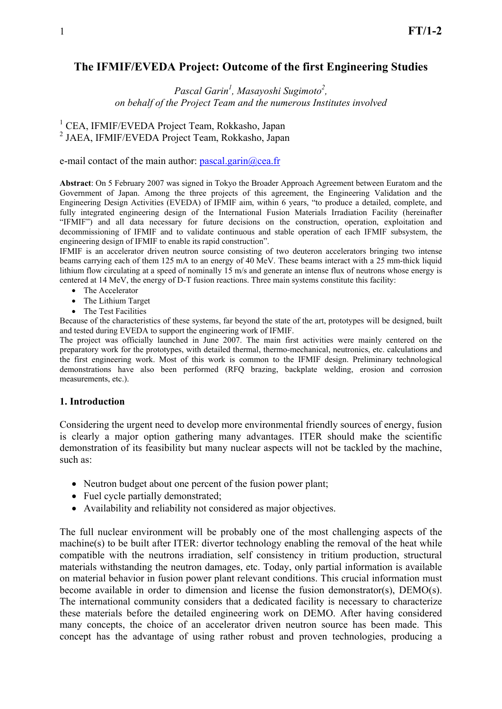# **The IFMIF/EVEDA Project: Outcome of the first Engineering Studies**

## *Pascal Garin1 , Masayoshi Sugimoto2 , on behalf of the Project Team and the numerous Institutes involved*

<sup>1</sup> CEA, IFMIF/EVEDA Project Team, Rokkasho, Japan 2 JAEA, IFMIF/EVEDA Project Team, Rokkasho, Japan

e-mail contact of the main author:  $pascal_0$ garin $@cea.fr$ 

**Abstract**: On 5 February 2007 was signed in Tokyo the Broader Approach Agreement between Euratom and the Government of Japan. Among the three projects of this agreement, the Engineering Validation and the Engineering Design Activities (EVEDA) of IFMIF aim, within 6 years, "to produce a detailed, complete, and fully integrated engineering design of the International Fusion Materials Irradiation Facility (hereinafter "IFMIF") and all data necessary for future decisions on the construction, operation, exploitation and decommissioning of IFMIF and to validate continuous and stable operation of each IFMIF subsystem, the engineering design of IFMIF to enable its rapid construction".

IFMIF is an accelerator driven neutron source consisting of two deuteron accelerators bringing two intense beams carrying each of them 125 mA to an energy of 40 MeV. These beams interact with a 25 mm-thick liquid lithium flow circulating at a speed of nominally 15 m/s and generate an intense flux of neutrons whose energy is centered at 14 MeV, the energy of D-T fusion reactions. Three main systems constitute this facility:

- The Accelerator
- The Lithium Target
- The Test Facilities

Because of the characteristics of these systems, far beyond the state of the art, prototypes will be designed, built and tested during EVEDA to support the engineering work of IFMIF.

The project was officially launched in June 2007. The main first activities were mainly centered on the preparatory work for the prototypes, with detailed thermal, thermo-mechanical, neutronics, etc. calculations and the first engineering work. Most of this work is common to the IFMIF design. Preliminary technological demonstrations have also been performed (RFQ brazing, backplate welding, erosion and corrosion measurements, etc.).

#### **1. Introduction**

Considering the urgent need to develop more environmental friendly sources of energy, fusion is clearly a major option gathering many advantages. ITER should make the scientific demonstration of its feasibility but many nuclear aspects will not be tackled by the machine, such as:

- Neutron budget about one percent of the fusion power plant;
- Fuel cycle partially demonstrated;
- Availability and reliability not considered as major objectives.

The full nuclear environment will be probably one of the most challenging aspects of the machine(s) to be built after ITER: divertor technology enabling the removal of the heat while compatible with the neutrons irradiation, self consistency in tritium production, structural materials withstanding the neutron damages, etc. Today, only partial information is available on material behavior in fusion power plant relevant conditions. This crucial information must become available in order to dimension and license the fusion demonstrator(s), DEMO(s). The international community considers that a dedicated facility is necessary to characterize these materials before the detailed engineering work on DEMO. After having considered many concepts, the choice of an accelerator driven neutron source has been made. This concept has the advantage of using rather robust and proven technologies, producing a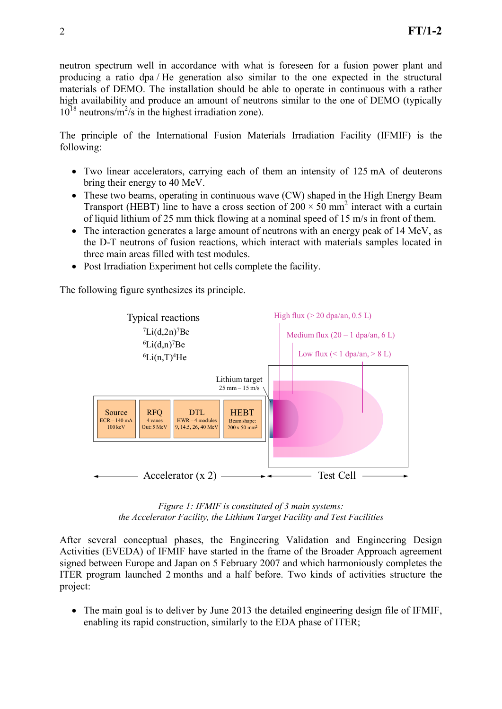neutron spectrum well in accordance with what is foreseen for a fusion power plant and producing a ratio dpa / He generation also similar to the one expected in the structural materials of DEMO. The installation should be able to operate in continuous with a rather high availability and produce an amount of neutrons similar to the one of DEMO (typically  $10^{18}$  neutrons/m<sup>2</sup>/s in the highest irradiation zone).

The principle of the International Fusion Materials Irradiation Facility (IFMIF) is the following:

- Two linear accelerators, carrying each of them an intensity of 125 mA of deuterons bring their energy to 40 MeV.
- These two beams, operating in continuous wave (CW) shaped in the High Energy Beam Transport (HEBT) line to have a cross section of  $200 \times 50$  mm<sup>2</sup> interact with a curtain of liquid lithium of 25 mm thick flowing at a nominal speed of 15 m/s in front of them.
- The interaction generates a large amount of neutrons with an energy peak of 14 MeV, as the D-T neutrons of fusion reactions, which interact with materials samples located in three main areas filled with test modules.
- Post Irradiation Experiment hot cells complete the facility.

The following figure synthesizes its principle.



*Figure 1: IFMIF is constituted of 3 main systems: the Accelerator Facility, the Lithium Target Facility and Test Facilities* 

After several conceptual phases, the Engineering Validation and Engineering Design Activities (EVEDA) of IFMIF have started in the frame of the Broader Approach agreement signed between Europe and Japan on 5 February 2007 and which harmoniously completes the ITER program launched 2 months and a half before. Two kinds of activities structure the project:

• The main goal is to deliver by June 2013 the detailed engineering design file of IFMIF, enabling its rapid construction, similarly to the EDA phase of ITER;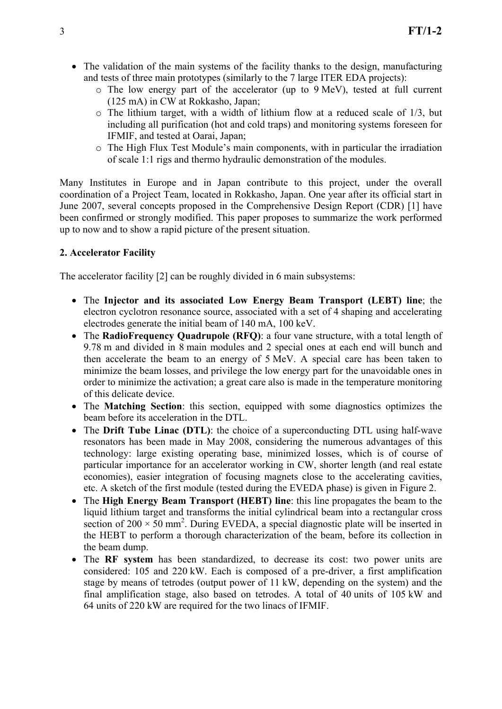- The validation of the main systems of the facility thanks to the design, manufacturing and tests of three main prototypes (similarly to the 7 large ITER EDA projects):
	- o The low energy part of the accelerator (up to 9 MeV), tested at full current (125 mA) in CW at Rokkasho, Japan;
	- o The lithium target, with a width of lithium flow at a reduced scale of 1/3, but including all purification (hot and cold traps) and monitoring systems foreseen for IFMIF, and tested at Oarai, Japan;
	- o The High Flux Test Module's main components, with in particular the irradiation of scale 1:1 rigs and thermo hydraulic demonstration of the modules.

Many Institutes in Europe and in Japan contribute to this project, under the overall coordination of a Project Team, located in Rokkasho, Japan. One year after its official start in June 2007, several concepts proposed in the Comprehensive Design Report (CDR) [1] have been confirmed or strongly modified. This paper proposes to summarize the work performed up to now and to show a rapid picture of the present situation.

## **2. Accelerator Facility**

The accelerator facility [2] can be roughly divided in 6 main subsystems:

- The **Injector and its associated Low Energy Beam Transport (LEBT) line**; the electron cyclotron resonance source, associated with a set of 4 shaping and accelerating electrodes generate the initial beam of 140 mA, 100 keV.
- The **RadioFrequency Quadrupole (RFQ)**: a four vane structure, with a total length of 9.78 m and divided in 8 main modules and 2 special ones at each end will bunch and then accelerate the beam to an energy of 5 MeV. A special care has been taken to minimize the beam losses, and privilege the low energy part for the unavoidable ones in order to minimize the activation; a great care also is made in the temperature monitoring of this delicate device.
- The **Matching Section**: this section, equipped with some diagnostics optimizes the beam before its acceleration in the DTL.
- The **Drift Tube Linac (DTL)**: the choice of a superconducting DTL using half-wave resonators has been made in May 2008, considering the numerous advantages of this technology: large existing operating base, minimized losses, which is of course of particular importance for an accelerator working in CW, shorter length (and real estate economies), easier integration of focusing magnets close to the accelerating cavities, etc. A sketch of the first module (tested during the EVEDA phase) is given in Figure 2.
- The **High Energy Beam Transport (HEBT) line**: this line propagates the beam to the liquid lithium target and transforms the initial cylindrical beam into a rectangular cross section of  $200 \times 50$  mm<sup>2</sup>. During EVEDA, a special diagnostic plate will be inserted in the HEBT to perform a thorough characterization of the beam, before its collection in the beam dump.
- The **RF system** has been standardized, to decrease its cost: two power units are considered: 105 and 220 kW. Each is composed of a pre-driver, a first amplification stage by means of tetrodes (output power of 11 kW, depending on the system) and the final amplification stage, also based on tetrodes. A total of 40 units of 105 kW and 64 units of 220 kW are required for the two linacs of IFMIF.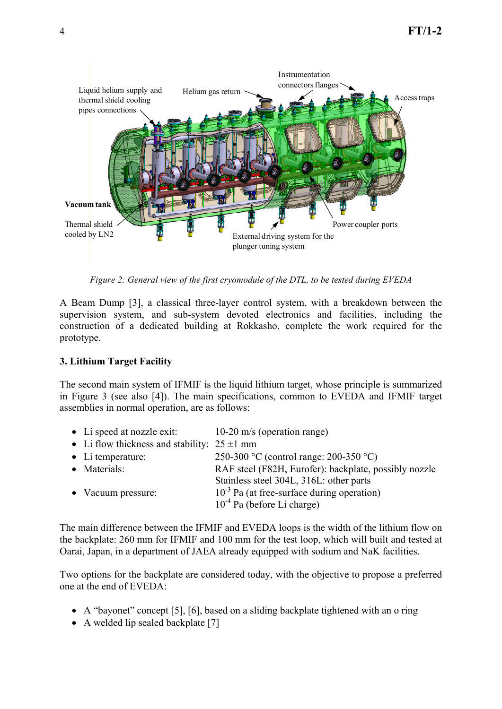

*Figure 2: General view of the first cryomodule of the DTL, to be tested during EVEDA* 

A Beam Dump [3], a classical three-layer control system, with a breakdown between the supervision system, and sub-system devoted electronics and facilities, including the construction of a dedicated building at Rokkasho, complete the work required for the prototype.

## **3. Lithium Target Facility**

The second main system of IFMIF is the liquid lithium target, whose principle is summarized in Figure 3 (see also [4]). The main specifications, common to EVEDA and IFMIF target assemblies in normal operation, are as follows:

| • Li speed at nozzle exit: $10-20$ m/s (operation range) |                                                       |
|----------------------------------------------------------|-------------------------------------------------------|
| • Li flow thickness and stability: $25 \pm 1$ mm         |                                                       |
| $\bullet$ Li temperature:                                | 250-300 °C (control range: 200-350 °C)                |
| • Materials:                                             | RAF steel (F82H, Eurofer): backplate, possibly nozzle |
|                                                          | Stainless steel 304L, 316L: other parts               |
| • Vacuum pressure:                                       | $10^{-3}$ Pa (at free-surface during operation)       |
|                                                          | $10^{-4}$ Pa (before Li charge)                       |

The main difference between the IFMIF and EVEDA loops is the width of the lithium flow on the backplate: 260 mm for IFMIF and 100 mm for the test loop, which will built and tested at Oarai, Japan, in a department of JAEA already equipped with sodium and NaK facilities.

Two options for the backplate are considered today, with the objective to propose a preferred one at the end of EVEDA:

- A "bayonet" concept [5], [6], based on a sliding backplate tightened with an o ring
- A welded lip sealed backplate [7]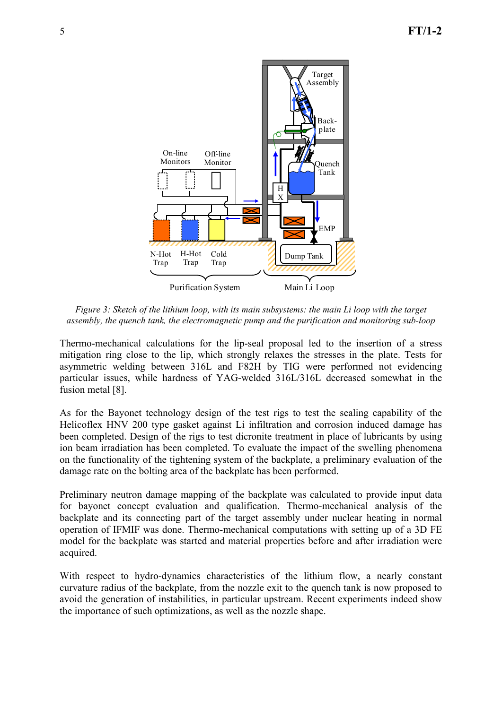

*Figure 3: Sketch of the lithium loop, with its main subsystems: the main Li loop with the target assembly, the quench tank, the electromagnetic pump and the purification and monitoring sub-loop* 

Thermo-mechanical calculations for the lip-seal proposal led to the insertion of a stress mitigation ring close to the lip, which strongly relaxes the stresses in the plate. Tests for asymmetric welding between 316L and F82H by TIG were performed not evidencing particular issues, while hardness of YAG-welded 316L/316L decreased somewhat in the fusion metal [8].

As for the Bayonet technology design of the test rigs to test the sealing capability of the Helicoflex HNV 200 type gasket against Li infiltration and corrosion induced damage has been completed. Design of the rigs to test dicronite treatment in place of lubricants by using ion beam irradiation has been completed. To evaluate the impact of the swelling phenomena on the functionality of the tightening system of the backplate, a preliminary evaluation of the damage rate on the bolting area of the backplate has been performed.

Preliminary neutron damage mapping of the backplate was calculated to provide input data for bayonet concept evaluation and qualification. Thermo-mechanical analysis of the backplate and its connecting part of the target assembly under nuclear heating in normal operation of IFMIF was done. Thermo-mechanical computations with setting up of a 3D FE model for the backplate was started and material properties before and after irradiation were acquired.

With respect to hydro-dynamics characteristics of the lithium flow, a nearly constant curvature radius of the backplate, from the nozzle exit to the quench tank is now proposed to avoid the generation of instabilities, in particular upstream. Recent experiments indeed show the importance of such optimizations, as well as the nozzle shape.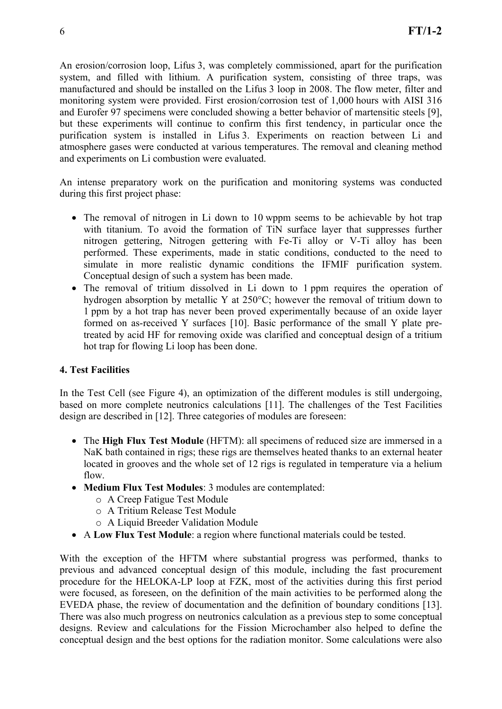An erosion/corrosion loop, Lifus 3, was completely commissioned, apart for the purification system, and filled with lithium. A purification system, consisting of three traps, was manufactured and should be installed on the Lifus 3 loop in 2008. The flow meter, filter and monitoring system were provided. First erosion/corrosion test of 1,000 hours with AISI 316 and Eurofer 97 specimens were concluded showing a better behavior of martensitic steels [9], but these experiments will continue to confirm this first tendency, in particular once the purification system is installed in Lifus 3. Experiments on reaction between Li and atmosphere gases were conducted at various temperatures. The removal and cleaning method and experiments on Li combustion were evaluated.

An intense preparatory work on the purification and monitoring systems was conducted during this first project phase:

- The removal of nitrogen in Li down to 10 wppm seems to be achievable by hot trap with titanium. To avoid the formation of TiN surface layer that suppresses further nitrogen gettering, Nitrogen gettering with Fe-Ti alloy or V-Ti alloy has been performed. These experiments, made in static conditions, conducted to the need to simulate in more realistic dynamic conditions the IFMIF purification system. Conceptual design of such a system has been made.
- The removal of tritium dissolved in Li down to 1 ppm requires the operation of hydrogen absorption by metallic Y at 250°C; however the removal of tritium down to 1 ppm by a hot trap has never been proved experimentally because of an oxide layer formed on as-received Y surfaces [10]. Basic performance of the small Y plate pretreated by acid HF for removing oxide was clarified and conceptual design of a tritium hot trap for flowing Li loop has been done.

### **4. Test Facilities**

In the Test Cell (see Figure 4), an optimization of the different modules is still undergoing, based on more complete neutronics calculations [11]. The challenges of the Test Facilities design are described in [12]. Three categories of modules are foreseen:

- The **High Flux Test Module** (HFTM): all specimens of reduced size are immersed in a NaK bath contained in rigs; these rigs are themselves heated thanks to an external heater located in grooves and the whole set of 12 rigs is regulated in temperature via a helium flow.
- **Medium Flux Test Modules**: 3 modules are contemplated:
	- o A Creep Fatigue Test Module
	- o A Tritium Release Test Module
	- o A Liquid Breeder Validation Module
- A **Low Flux Test Module**: a region where functional materials could be tested.

With the exception of the HFTM where substantial progress was performed, thanks to previous and advanced conceptual design of this module, including the fast procurement procedure for the HELOKA-LP loop at FZK, most of the activities during this first period were focused, as foreseen, on the definition of the main activities to be performed along the EVEDA phase, the review of documentation and the definition of boundary conditions [13]. There was also much progress on neutronics calculation as a previous step to some conceptual designs. Review and calculations for the Fission Microchamber also helped to define the conceptual design and the best options for the radiation monitor. Some calculations were also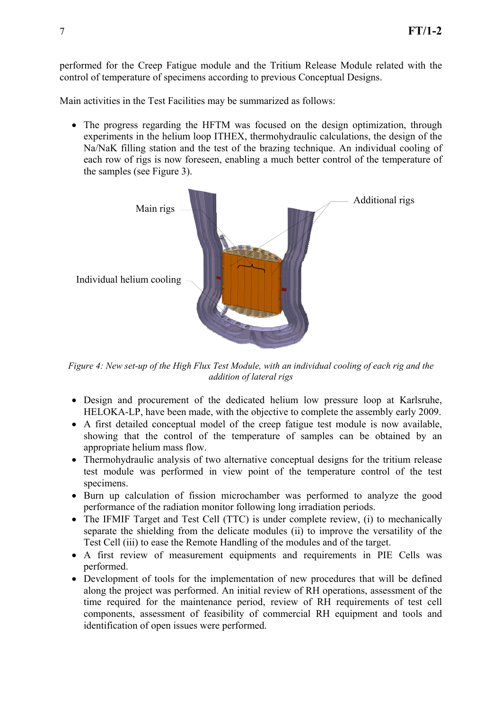performed for the Creep Fatigue module and the Tritium Release Module related with the control of temperature of specimens according to previous Conceptual Designs.

Main activities in the Test Facilities may be summarized as follows:

• The progress regarding the HFTM was focused on the design optimization, through experiments in the helium loop ITHEX, thermohydraulic calculations, the design of the Na/NaK filling station and the test of the brazing technique. An individual cooling of each row of rigs is now foreseen, enabling a much better control of the temperature of the samples (see Figure 3).



*Figure 4: New set-up of the High Flux Test Module, with an individual cooling of each rig and the addition of lateral rigs* 

- Design and procurement of the dedicated helium low pressure loop at Karlsruhe, HELOKA-LP, have been made, with the objective to complete the assembly early 2009.
- A first detailed conceptual model of the creep fatigue test module is now available, showing that the control of the temperature of samples can be obtained by an appropriate helium mass flow.
- Thermohydraulic analysis of two alternative conceptual designs for the tritium release test module was performed in view point of the temperature control of the test specimens.
- Burn up calculation of fission microchamber was performed to analyze the good performance of the radiation monitor following long irradiation periods.
- The IFMIF Target and Test Cell (TTC) is under complete review, (i) to mechanically separate the shielding from the delicate modules (ii) to improve the versatility of the Test Cell (iii) to ease the Remote Handling of the modules and of the target.
- A first review of measurement equipments and requirements in PIE Cells was performed.
- Development of tools for the implementation of new procedures that will be defined along the project was performed. An initial review of RH operations, assessment of the time required for the maintenance period, review of RH requirements of test cell components, assessment of feasibility of commercial RH equipment and tools and identification of open issues were performed.